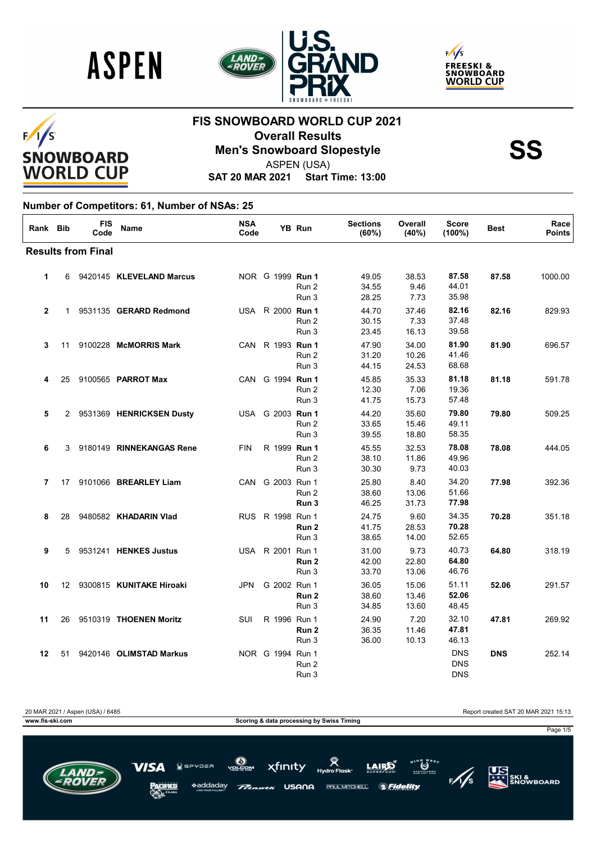





#### $F/I/S$ **SNOWBOARD WORLD CUP**

#### **FIS SNOWBOARD WORLD CUP 2021 Overall Results<br>Men's Snowboard Slopestyle**<br>ASPEN (USA)



ASPEN (USA)

**SAT 20 MAR 2021 Start Time: 13:00**

#### **Number of Competitors: 61, Number of NSAs: 25**

| Rank Bib       |    | <b>FIS</b><br>Code        | <b>Name</b>                | <b>NSA</b><br>Code |                  | YB Run         | <b>Sections</b><br>(60%) | Overall<br>(40%)        | <b>Score</b><br>$(100\%)$              | <b>Best</b> | Race<br><b>Points</b> |
|----------------|----|---------------------------|----------------------------|--------------------|------------------|----------------|--------------------------|-------------------------|----------------------------------------|-------------|-----------------------|
|                |    | <b>Results from Final</b> |                            |                    |                  |                |                          |                         |                                        |             |                       |
| 1              | 6  |                           | 9420145 KLEVELAND Marcus   |                    | NOR G 1999 Run 1 | Run 2<br>Run 3 | 49.05<br>34.55<br>28.25  | 38.53<br>9.46<br>7.73   | 87.58<br>44.01<br>35.98                | 87.58       | 1000.00               |
| $\overline{2}$ | 1  |                           | 9531135 GERARD Redmond     |                    | USA R 2000 Run 1 | Run 2<br>Run 3 | 44.70<br>30.15<br>23.45  | 37.46<br>7.33<br>16.13  | 82.16<br>37.48<br>39.58                | 82.16       | 829.93                |
| 3              | 11 |                           | 9100228 McMORRIS Mark      |                    | CAN R 1993 Run 1 | Run 2<br>Run 3 | 47.90<br>31.20<br>44.15  | 34.00<br>10.26<br>24.53 | 81.90<br>41.46<br>68.68                | 81.90       | 696.57                |
| 4              | 25 |                           | 9100565 PARROT Max         |                    | CAN G 1994 Run 1 | Run 2<br>Run 3 | 45.85<br>12.30<br>41.75  | 35.33<br>7.06<br>15.73  | 81.18<br>19.36<br>57.48                | 81.18       | 591.78                |
| 5              |    |                           | 2 9531369 HENRICKSEN Dusty |                    | USA G 2003 Run 1 | Run 2<br>Run 3 | 44.20<br>33.65<br>39.55  | 35.60<br>15.46<br>18.80 | 79.80<br>49.11<br>58.35                | 79.80       | 509.25                |
| 6              | 3  |                           | 9180149 RINNEKANGAS Rene   | <b>FIN</b>         | R 1999 Run 1     | Run 2<br>Run 3 | 45.55<br>38.10<br>30.30  | 32.53<br>11.86<br>9.73  | 78.08<br>49.96<br>40.03                | 78.08       | 444.05                |
| 7              | 17 |                           | 9101066 BREARLEY Liam      |                    | CAN G 2003 Run 1 | Run 2<br>Run 3 | 25.80<br>38.60<br>46.25  | 8.40<br>13.06<br>31.73  | 34.20<br>51.66<br>77.98                | 77.98       | 392.36                |
| 8              | 28 |                           | 9480582 KHADARIN Vlad      |                    | RUS R 1998 Run 1 | Run 2<br>Run 3 | 24.75<br>41.75<br>38.65  | 9.60<br>28.53<br>14.00  | 34.35<br>70.28<br>52.65                | 70.28       | 351.18                |
| 9              | 5  |                           | 9531241 HENKES Justus      |                    | USA R 2001 Run 1 | Run 2<br>Run 3 | 31.00<br>42.00<br>33.70  | 9.73<br>22.80<br>13.06  | 40.73<br>64.80<br>46.76                | 64.80       | 318.19                |
| 10             | 12 |                           | 9300815 KUNITAKE Hiroaki   | JPN                | G 2002 Run 1     | Run 2<br>Run 3 | 36.05<br>38.60<br>34.85  | 15.06<br>13.46<br>13.60 | 51.11<br>52.06<br>48.45                | 52.06       | 291.57                |
| 11             | 26 |                           | 9510319 THOENEN Moritz     | SUI                | R 1996 Run 1     | Run 2<br>Run 3 | 24.90<br>36.35<br>36.00  | 7.20<br>11.46<br>10.13  | 32.10<br>47.81<br>46.13                | 47.81       | 269.92                |
| 12             | 51 |                           | 9420146 OLIMSTAD Markus    |                    | NOR G 1994 Run 1 | Run 2<br>Run 3 |                          |                         | <b>DNS</b><br><b>DNS</b><br><b>DNS</b> | <b>DNS</b>  | 252.14                |

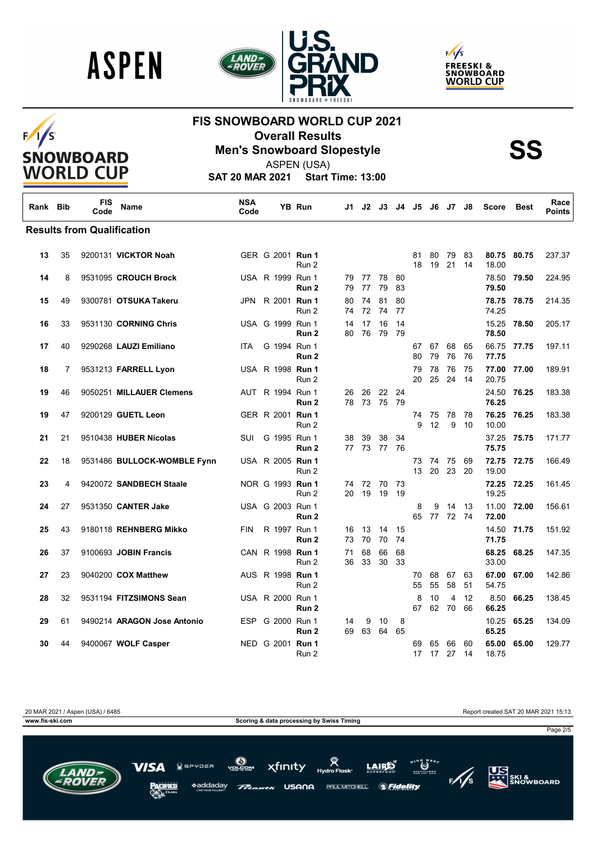

 $F/I/S$ 

SNOWBOARD<br>WORLD CUP





#### **FIS SNOWBOARD WORLD CUP 2021 Overall Results<br>Men's Snowboard Slopestyle**<br>ASPEN (USA)



ASPEN (USA)

**SAT 20 MAR 2021 Start Time: 13:00**

| Rank Bib |    | <b>FIS</b><br>Code                | Name                        | <b>NSA</b><br>Code |                         | <b>YB Run</b>    | J1.      | J2.            | J3.               | J4       | J5       |          | J6 J7             | J8         | <b>Score</b>         | <b>Best</b> | Race<br><b>Points</b> |
|----------|----|-----------------------------------|-----------------------------|--------------------|-------------------------|------------------|----------|----------------|-------------------|----------|----------|----------|-------------------|------------|----------------------|-------------|-----------------------|
|          |    | <b>Results from Qualification</b> |                             |                    |                         |                  |          |                |                   |          |          |          |                   |            |                      |             |                       |
| 13       | 35 |                                   | 9200131 VICKTOR Noah        |                    | GER G 2001 Run 1        | Run 2            |          |                |                   |          | 81<br>18 | 80<br>19 | 79<br>21          | 83<br>14   | 18.00                | 80.75 80.75 | 237.37                |
| 14       | 8  |                                   | 9531095 CROUCH Brock        |                    | USA R 1999 Run 1        | Run <sub>2</sub> |          | 79 77<br>79 77 | 78<br>79          | 80<br>83 |          |          |                   |            | 79.50                | 78.50 79.50 | 224.95                |
| 15       | 49 |                                   | 9300781 OTSUKA Takeru       |                    | JPN R 2001 Run 1        | Run 2            | 80<br>74 | 74<br>72       | 81<br>-74         | 80<br>77 |          |          |                   |            | 74.25                | 78.75 78.75 | 214.35                |
| 16       | 33 |                                   | 9531130 CORNING Chris       |                    | USA G 1999 Run 1        | Run <sub>2</sub> | 14<br>80 | 17<br>76       | 16<br>79          | 14<br>79 |          |          |                   |            | 15.25<br>78.50       | 78.50       | 205.17                |
| 17       | 40 |                                   | 9290268 LAUZI Emiliano      | <b>ITA</b>         | G 1994 Run 1            | Run 2            |          |                |                   |          | 67<br>80 | 67<br>79 | 68<br>76          | 65<br>76   | 66.75<br>77.75       | 77.75       | 197.11                |
| 18       | 7  |                                   | 9531213 FARRELL Lyon        |                    | USA R 1998 <b>Run 1</b> | Run 2            |          |                |                   |          | 79<br>20 | 78<br>25 | 76<br>24          | 75<br>- 14 | 77.00<br>20.75       | 77.00       | 189.91                |
| 19       | 46 |                                   | 9050251 MILLAUER Clemens    |                    | AUT R 1994 Run 1        | Run <sub>2</sub> | 26       | 26<br>78 73    | 22<br>- 75        | 24<br>79 |          |          |                   |            | 24.50 76.25<br>76.25 |             | 183.38                |
| 19       | 47 |                                   | 9200129 GUETL Leon          |                    | GER R 2001 <b>Run 1</b> | Run 2            |          |                |                   |          | 74<br>9  | 75<br>12 | 78<br>9           | - 78<br>10 | 76.25<br>10.00       | 76.25       | 183.38                |
| 21       | 21 |                                   | 9510438 HUBER Nicolas       | SUI                | G 1995 Run 1            | Run 2            | 38       | 39             | 38<br>77 73 77 76 | 34       |          |          |                   |            | 75.75                | 37.25 75.75 | 171.77                |
| 22       | 18 |                                   | 9531486 BULLOCK-WOMBLE Fynn |                    | USA R 2005 Run 1        | Run 2            |          |                |                   |          | 73<br>13 | 20       | 74 75 69<br>23 20 |            | 72.75<br>19.00       | 72.75       | 166.49                |
| 23       | 4  |                                   | 9420072 SANDBECH Staale     |                    | NOR G 1993 Run 1        | Run 2            | 74       | 72<br>20 19    | - 70<br>19        | 73<br>19 |          |          |                   |            | 19.25                | 72.25 72.25 | 161.45                |
| 24       | 27 |                                   | 9531350 CANTER Jake         |                    | USA G 2003 Run 1        | Run 2            |          |                |                   |          | 8<br>65  | 9        | 14<br>77 72 74    | 13         | 11.00<br>72.00       | 72.00       | 156.61                |
| 25       | 43 |                                   | 9180118 REHNBERG Mikko      | <b>FIN</b>         | R 1997 Run 1            | Run 2            | 16<br>73 | 13<br>70       | 14<br>70          | 15<br>74 |          |          |                   |            | 14.50<br>71.75       | 71.75       | 151.92                |
| 26       | 37 |                                   | 9100693 JOBIN Francis       |                    | CAN R 1998 Run 1        | Run 2            | 71<br>36 | 68<br>33       | 66<br>30          | 68<br>33 |          |          |                   |            | 68.25<br>33.00       | 68.25       | 147.35                |
| 27       | 23 |                                   | 9040200 COX Matthew         |                    | AUS R 1998 <b>Run 1</b> | Run 2            |          |                |                   |          | 70<br>55 | 68<br>55 | 67<br>58          | 63<br>51   | 67.00<br>54.75       | 67.00       | 142.86                |
| 28       | 32 |                                   | 9531194 FITZSIMONS Sean     |                    | USA R 2000 Run 1        | Run 2            |          |                |                   |          | 8<br>67  | 10<br>62 | 4<br>- 70         | 12<br>66   | 8.50<br>66.25        | 66.25       | 138.45                |
| 29       | 61 |                                   | 9490214 ARAGON Jose Antonio |                    | ESP G 2000 Run 1        | Run 2            | 14<br>69 | 9<br>63        | 10<br>64          | 8<br>65  |          |          |                   |            | 10.25<br>65.25       | 65.25       | 134.09                |
| 30       | 44 |                                   | 9400067 WOLF Casper         |                    | NED G 2001 Run 1        | Run 2            |          |                |                   |          | 69<br>17 | 65<br>17 | 66<br>27          | 60<br>14   | 65.00<br>18.75       | 65.00       | 129.77                |

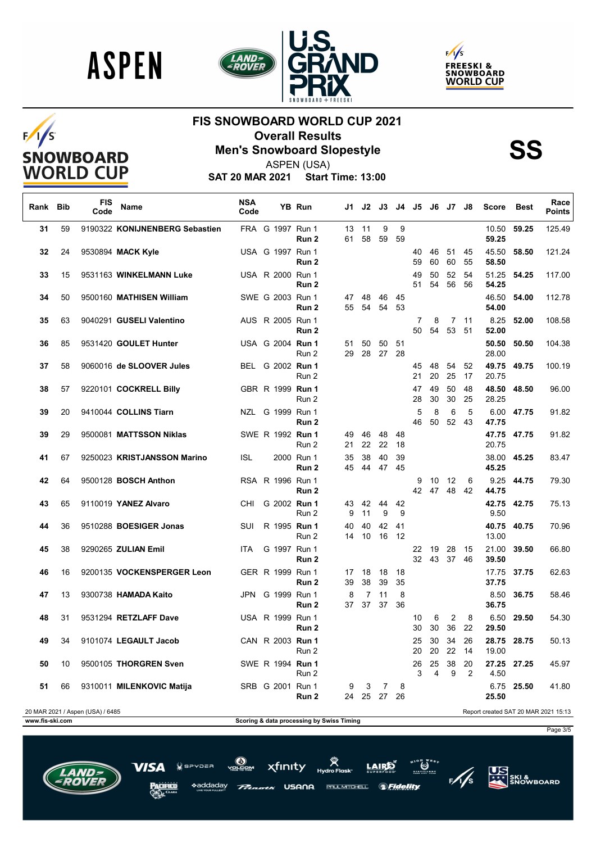

 $F/I/S$ 

**SNOWBOARD WORLD CUP** 





## **FIS SNOWBOARD WORLD CUP 2021 Overall Results<br>Men's Snowboard Slopestyle**<br>ASPEN (USA)



ASPEN (USA)

**SAT 20 MAR 2021 Start Time: 13:00**

| Rank Bib        |    | FIS<br>Code                      | Name                           | <b>NSA</b><br>Code |                  | YB Run              | J1 I                                      | J2          | J3                | J4 I     | J5       | J6       | J7 J8           |            | <b>Score</b>   | Best        | Race<br><b>Points</b>                |
|-----------------|----|----------------------------------|--------------------------------|--------------------|------------------|---------------------|-------------------------------------------|-------------|-------------------|----------|----------|----------|-----------------|------------|----------------|-------------|--------------------------------------|
| 31              | 59 |                                  | 9190322 KONIJNENBERG Sebastien |                    | FRA G 1997 Run 1 | Run 2               | 61                                        | 13 11<br>58 | 9<br>59           | 9<br>59  |          |          |                 |            | 10.50<br>59.25 | 59.25       | 125.49                               |
| 32              | 24 |                                  | 9530894 MACK Kyle              |                    | USA G 1997 Run 1 | Run 2               |                                           |             |                   |          | 40<br>59 | 46<br>60 | 51<br>60        | 45<br>55   | 45.50<br>58.50 | 58.50       | 121.24                               |
| 33              | 15 |                                  | 9531163 WINKELMANN Luke        |                    | USA R 2000 Run 1 | Run 2               |                                           |             |                   |          | 49<br>51 | 50<br>54 | 52<br>56        | 54<br>56   | 51.25<br>54.25 | 54.25       | 117.00                               |
| 34              | 50 |                                  | 9500160 MATHISEN William       |                    | SWE G 2003 Run 1 | Run 2               | 47<br>55                                  | 48<br>54    | 46<br>54          | 45<br>53 |          |          |                 |            | 46.50<br>54.00 | 54.00       | 112.78                               |
| 35              | 63 |                                  | 9040291 GUSELI Valentino       |                    | AUS R 2005 Run 1 | Run 2               |                                           |             |                   |          | 7<br>50  | 8<br>54  | 7<br>53         | - 11<br>51 | 8.25<br>52.00  | 52.00       | 108.58                               |
| 36              | 85 |                                  | 9531420 GOULET Hunter          |                    | USA G 2004 Run 1 | Run 2               | 51<br>29                                  | 50<br>28 27 | 50                | 51<br>28 |          |          |                 |            | 50.50<br>28.00 | 50.50       | 104.38                               |
| 37              | 58 |                                  | 9060016 de SLOOVER Jules       |                    | BEL G 2002 Run 1 | Run 2               |                                           |             |                   |          | 45<br>21 | 48<br>20 | 54<br>25        | 52<br>17   | 49.75<br>20.75 | 49.75       | 100.19                               |
| 38              | 57 |                                  | 9220101 COCKRELL Billy         |                    | GBR R 1999 Run 1 | Run 2               |                                           |             |                   |          | 47<br>28 | 49<br>30 | 50<br>30        | 48<br>25   | 28.25          | 48.50 48.50 | 96.00                                |
| 39              | 20 |                                  | 9410044 COLLINS Tiarn          |                    | NZL G 1999 Run 1 | Run <sub>2</sub>    |                                           |             |                   |          | 5<br>46  | 8<br>50  | 6<br>52         | 5<br>43    | 47.75          | 6.00 47.75  | 91.82                                |
| 39              | 29 |                                  | 9500081 MATTSSON Niklas        |                    | SWE R 1992 Run 1 | Run 2               | 49<br>21                                  | 46          | 48<br>22 22       | 48<br>18 |          |          |                 |            | 20.75          | 47.75 47.75 | 91.82                                |
| 41              | 67 |                                  | 9250023 KRISTJANSSON Marino    | <b>ISL</b>         |                  | 2000 Run 1<br>Run 2 | 35                                        | 38          | 40<br>45 44 47 45 | 39       |          |          |                 |            | 45.25          | 38.00 45.25 | 83.47                                |
| 42              | 64 |                                  | 9500128 BOSCH Anthon           |                    | RSA R 1996 Run 1 | Run 2               |                                           |             |                   |          | 9<br>42  | 10       | -12<br>47 48 42 | 6          | 44.75          | 9.25 44.75  | 79.30                                |
| 43              | 65 |                                  | 9110019 YANEZ Alvaro           | CHI                | G 2002 Run 1     | Run 2               | 43<br>9                                   | 42<br>11    | 44<br>9           | 42<br>9  |          |          |                 |            | 9.50           | 42.75 42.75 | 75.13                                |
| 44              | 36 |                                  | 9510288 BOESIGER Jonas         | SUI                | R 1995 Run 1     | Run 2               | 40<br>14                                  | 40<br>10    | 42<br>16          | 41<br>12 |          |          |                 |            | 13.00          | 40.75 40.75 | 70.96                                |
| 45              | 38 |                                  | 9290265 ZULIAN Emil            | ITA.               | G 1997 Run 1     | Run 2               |                                           |             |                   |          | 22<br>32 | 19<br>43 | 28<br>37 46     | 15         | 21.00<br>39.50 | 39.50       | 66.80                                |
| 46              | 16 |                                  | 9200135 VOCKENSPERGER Leon     |                    | GER R 1999 Run 1 | Run 2               | 17<br>39                                  | 18<br>38    | 18<br>39          | 18<br>35 |          |          |                 |            | 17.75<br>37.75 | 37.75       | 62.63                                |
| 47              | 13 |                                  | 9300738 HAMADA Kaito           |                    | JPN G 1999 Run 1 | Run <sub>2</sub>    | 8<br>37                                   | 7<br>37     | 11<br>37          | 8<br>36  |          |          |                 |            | 36.75          | 8.50 36.75  | 58.46                                |
| 48              | 31 |                                  | 9531294 RETZLAFF Dave          |                    | USA R 1999 Run 1 | Run 2               |                                           |             |                   |          | 10<br>30 | 6<br>30  | 2<br>36         | 8<br>22    | 6.50<br>29.50  | 29.50       | 54.30                                |
| 49              | 34 |                                  | 9101074 LEGAULT Jacob          |                    | CAN R 2003 Run 1 | Run 2               |                                           |             |                   |          | 25<br>20 | 30       | 34<br>20 22 14  | 26         | 19.00          | 28.75 28.75 | 50.13                                |
| 50              | 10 |                                  | 9500105 THORGREN Sven          |                    | SWE R 1994 Run 1 | Run 2               |                                           |             |                   |          | 26<br>3  | 25<br>4  | 38<br>9         | 20<br>2    | 4.50           | 27.25 27.25 | 45.97                                |
| 51              | 66 |                                  | 9310011 MILENKOVIC Matija      |                    | SRB G 2001 Run 1 | Run 2               | 9<br>24                                   | 3<br>25     | 7<br>27           | 8<br>26  |          |          |                 |            | 25.50          | 6.75 25.50  | 41.80                                |
|                 |    | 20 MAR 2021 / Aspen (USA) / 6485 |                                |                    |                  |                     |                                           |             |                   |          |          |          |                 |            |                |             | Report created SAT 20 MAR 2021 15:13 |
| www.fis-ski.com |    |                                  |                                |                    |                  |                     | Scoring & data processing by Swiss Timing |             |                   |          |          |          |                 |            |                |             |                                      |
|                 |    |                                  |                                |                    |                  |                     |                                           |             |                   |          |          |          |                 |            |                |             | Page 3/5                             |

\*addadav USANA PAUL MITCHELL.

ה=פי $\overline{a}$ 

xfinity *SFidelity* 

 $\sum_{n=1}^{\infty}$  $\frac{1}{5}$ 

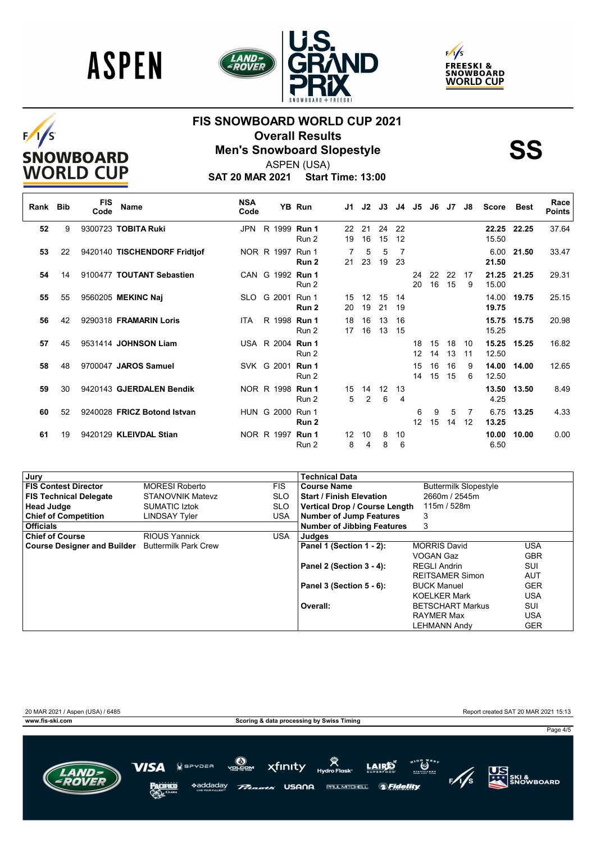





# $F/I/S$ SNOWBOARD<br>WORLD CUP

#### **FIS SNOWBOARD WORLD CUP 2021 Overall Results<br>Men's Snowboard Slopestyle**<br>ASPEN (USA)



ASPEN (USA)

**SAT 20 MAR 2021 Start Time: 13:00**

| Rank Bib |    | <b>FIS</b><br>Code | Name                         | <b>NSA</b><br>Code |                     | YB Run           | J1.      | J2                   | J3       | J4                   | J5       | J6       | J7       | J8       | Score          | Best  | Race<br><b>Points</b> |
|----------|----|--------------------|------------------------------|--------------------|---------------------|------------------|----------|----------------------|----------|----------------------|----------|----------|----------|----------|----------------|-------|-----------------------|
| 52       | 9  |                    | 9300723 TOBITA Ruki          | JPN                | R 1999 Run 1        | Run 2            | 22<br>19 | 21<br>16             | 24<br>15 | 22<br>12             |          |          |          |          | 22.25<br>15.50 | 22.25 | 37.64                 |
| 53       | 22 |                    | 9420140 TISCHENDORF Fridtjof |                    | NOR R 1997 Run 1    | Run 2            | 21       | 5<br>23              | 5<br>19  | 7<br>23              |          |          |          |          | 6.00<br>21.50  | 21.50 | 33.47                 |
| 54       | 14 |                    | 9100477 TOUTANT Sebastien    |                    | CAN G 1992 Run 1    | Run 2            |          |                      |          |                      | 24<br>20 | 22<br>16 | 22<br>15 | 17<br>9  | 21.25<br>15.00 | 21.25 | 29.31                 |
| 55       | 55 |                    | 9560205 MEKINC Naj           |                    | SLO G 2001 Run 1    | Run <sub>2</sub> | 15<br>20 | 12<br>19             | 15<br>21 | 14<br>19             |          |          |          |          | 14.00<br>19.75 | 19.75 | 25.15                 |
| 56       | 42 |                    | 9290318 FRAMARIN Loris       | ITA.               | R 1998 <b>Run 1</b> | Run 2            | 18<br>17 | 16<br>16             | 13<br>13 | 16<br>15             |          |          |          |          | 15.75<br>15.25 | 15.75 | 20.98                 |
| 57       | 45 |                    | 9531414 JOHNSON Liam         |                    | USA R 2004 Run 1    | Run 2            |          |                      |          |                      | 18<br>12 | 15<br>14 | 18<br>13 | 10<br>11 | 15.25<br>12.50 | 15.25 | 16.82                 |
| 58       | 48 |                    | 9700047 JAROS Samuel         |                    | SVK G 2001 Run 1    | Run 2            |          |                      |          |                      | 15<br>14 | 16<br>15 | 16<br>15 | 9<br>6   | 14.00<br>12.50 | 14.00 | 12.65                 |
| 59       | 30 |                    | 9420143 GJERDALEN Bendik     |                    | NOR R 1998 Run 1    | Run 2            | 15<br>5  | 14<br>$\overline{2}$ | 12<br>6  | 13<br>$\overline{4}$ |          |          |          |          | 13.50<br>4.25  | 13.50 | 8.49                  |
| 60       | 52 |                    | 9240028 FRICZ Botond Istvan  |                    | HUN G 2000 Run 1    | Run 2            |          |                      |          |                      | 6<br>12  | 9<br>15  | 5<br>14  | 7<br>12  | 6.75<br>13.25  | 13.25 | 4.33                  |
| 61       | 19 |                    | 9420129 KLEIVDAL Stian       |                    | NOR R 1997 Run 1    | Run 2            | 12<br>8  | 10<br>4              | 8<br>8   | 10<br>6              |          |          |          |          | 10.00<br>6.50  | 10.00 | 0.00                  |

| Jury                                             |                         |            | Technical Data                    |                              |            |
|--------------------------------------------------|-------------------------|------------|-----------------------------------|------------------------------|------------|
| <b>FIS Contest Director</b>                      | <b>MORESI Roberto</b>   | <b>FIS</b> | <b>Course Name</b>                | <b>Buttermilk Slopestyle</b> |            |
| <b>FIS Technical Delegate</b>                    | <b>STANOVNIK Matevz</b> | <b>SLO</b> | <b>Start / Finish Elevation</b>   | 2660m / 2545m                |            |
| <b>Head Judge</b>                                | <b>SUMATIC Iztok</b>    | <b>SLO</b> | Vertical Drop / Course Length     | 115m / 528m                  |            |
| <b>Chief of Competition</b>                      | LINDSAY Tyler           | USA.       | <b>Number of Jump Features</b>    | 3                            |            |
| <b>Officials</b>                                 |                         |            | <b>Number of Jibbing Features</b> | 3                            |            |
| <b>Chief of Course</b>                           | <b>RIOUS Yannick</b>    | <b>USA</b> | Judges                            |                              |            |
| Course Designer and Builder Buttermilk Park Crew |                         |            | Panel 1 (Section 1 - 2):          | <b>MORRIS David</b>          | <b>USA</b> |
|                                                  |                         |            |                                   | VOGAN Gaz                    | <b>GBR</b> |
|                                                  |                         |            | Panel 2 (Section 3 - 4):          | <b>REGLI Andrin</b>          | SUI        |
|                                                  |                         |            |                                   | <b>REITSAMER Simon</b>       | <b>AUT</b> |
|                                                  |                         |            | Panel 3 (Section 5 - 6):          | <b>BUCK Manuel</b>           | <b>GER</b> |
|                                                  |                         |            |                                   | <b>KOELKER Mark</b>          | <b>USA</b> |
|                                                  |                         |            | Overall:                          | <b>BETSCHART Markus</b>      | SUI        |
|                                                  |                         |            |                                   | <b>RAYMER Max</b>            | <b>USA</b> |
|                                                  |                         |            |                                   | <b>LEHMANN Andy</b>          | <b>GER</b> |